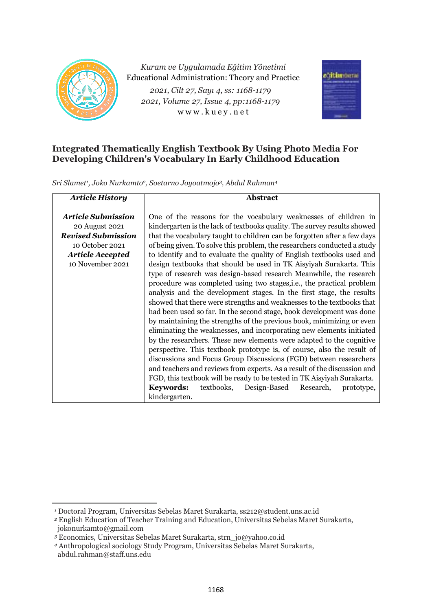

*Kuram ve Uygulamada Eğitim Yönetimi* Educational Administration: Theory and Practice *2021, Cilt 27, Sayı 4, ss: 1168-1179 2021, Volume 27, Issue 4, pp:1168-1179* w w w . k u e y . n e t



# **Integrated Thematically English Textbook By Using Photo Media For Developing Children's Vocabulary In Early Childhood Education**

*Sri Slamet<sup>1</sup> , Joko Nurkamto2, Soetarno Joyoatmojo3, Abdul Rahman<sup>4</sup>*

| <b>Article History</b>    | <b>Abstract</b>                                                           |  |  |  |  |  |
|---------------------------|---------------------------------------------------------------------------|--|--|--|--|--|
|                           |                                                                           |  |  |  |  |  |
| <b>Article Submission</b> | One of the reasons for the vocabulary weaknesses of children in           |  |  |  |  |  |
| 20 August 2021            | kindergarten is the lack of textbooks quality. The survey results showed  |  |  |  |  |  |
| <b>Revised Submission</b> | that the vocabulary taught to children can be forgotten after a few days  |  |  |  |  |  |
| 10 October 2021           | of being given. To solve this problem, the researchers conducted a study  |  |  |  |  |  |
| <b>Article Accepted</b>   | to identify and to evaluate the quality of English textbooks used and     |  |  |  |  |  |
| 10 November 2021          | design textbooks that should be used in TK Aisyiyah Surakarta. This       |  |  |  |  |  |
|                           | type of research was design-based research Meanwhile, the research        |  |  |  |  |  |
|                           | procedure was completed using two stages, i.e., the practical problem     |  |  |  |  |  |
|                           | analysis and the development stages. In the first stage, the results      |  |  |  |  |  |
|                           | showed that there were strengths and weaknesses to the textbooks that     |  |  |  |  |  |
|                           | had been used so far. In the second stage, book development was done      |  |  |  |  |  |
|                           | by maintaining the strengths of the previous book, minimizing or even     |  |  |  |  |  |
|                           | eliminating the weaknesses, and incorporating new elements initiated      |  |  |  |  |  |
|                           | by the researchers. These new elements were adapted to the cognitive      |  |  |  |  |  |
|                           | perspective. This textbook prototype is, of course, also the result of    |  |  |  |  |  |
|                           | discussions and Focus Group Discussions (FGD) between researchers         |  |  |  |  |  |
|                           | and teachers and reviews from experts. As a result of the discussion and  |  |  |  |  |  |
|                           | FGD, this textbook will be ready to be tested in TK Aisyiyah Surakarta.   |  |  |  |  |  |
|                           | textbooks,<br><b>Keywords:</b><br>Design-Based<br>Research,<br>prototype, |  |  |  |  |  |
|                           | kindergarten.                                                             |  |  |  |  |  |

*<sup>1</sup>* Doctoral Program, Universitas Sebelas Maret Surakarta, ss212@student.uns.ac.id

*<sup>2</sup>* English Education of Teacher Training and Education, Universitas Sebelas Maret Surakarta, jokonurkamto@gmail.com

*<sup>3</sup>* Economics, Universitas Sebelas Maret Surakarta, strn\_jo@yahoo.co.id

*<sup>4</sup>* Anthropological sociology Study Program, Universitas Sebelas Maret Surakarta,

abdul.rahman@staff.uns.edu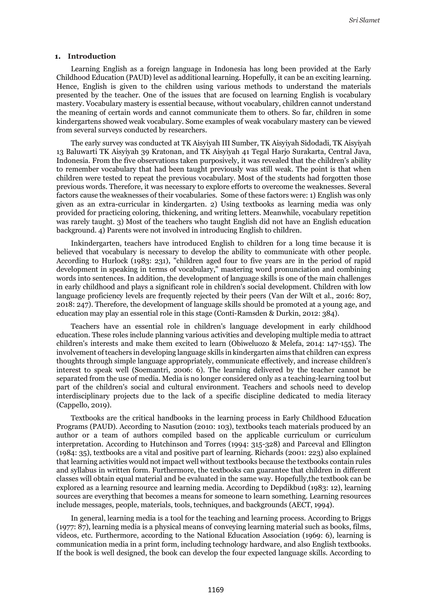#### **1. Introduction**

Learning English as a foreign language in Indonesia has long been provided at the Early Childhood Education (PAUD) level as additional learning. Hopefully, it can be an exciting learning. Hence, English is given to the children using various methods to understand the materials presented by the teacher. One of the issues that are focused on learning English is vocabulary mastery. Vocabulary mastery is essential because, without vocabulary, children cannot understand the meaning of certain words and cannot communicate them to others. So far, children in some kindergartens showed weak vocabulary. Some examples of weak vocabulary mastery can be viewed from several surveys conducted by researchers.

The early survey was conducted at TK Aisyiyah III Sumber, TK Aisyiyah Sidodadi, TK Aisyiyah 13 Baluwarti TK Aisyiyah 39 Kratonan, and TK Aisyiyah 41 Tegal Harjo Surakarta, Central Java, Indonesia. From the five observations taken purposively, it was revealed that the children's ability to remember vocabulary that had been taught previously was still weak. The point is that when children were tested to repeat the previous vocabulary. Most of the students had forgotten those previous words. Therefore, it was necessary to explore efforts to overcome the weaknesses. Several factors cause the weaknesses of their vocabularies. Some of these factors were: 1) English was only given as an extra-curricular in kindergarten. 2) Using textbooks as learning media was only provided for practicing coloring, thickening, and writing letters. Meanwhile, vocabulary repetition was rarely taught. 3) Most of the teachers who taught English did not have an English education background. 4) Parents were not involved in introducing English to children.

Inkindergarten, teachers have introduced English to children for a long time because it is believed that vocabulary is necessary to develop the ability to communicate with other people. According to Hurlock (1983: 231), "children aged four to five years are in the period of rapid development in speaking in terms of vocabulary," mastering word pronunciation and combining words into sentences. In addition, the development of language skills is one of the main challenges in early childhood and plays a significant role in children's social development. Children with low language proficiency levels are frequently rejected by their peers (Van der Wilt et al., 2016: 807, 2018: 247). Therefore, the development of language skills should be promoted at a young age, and education may play an essential role in this stage (Conti-Ramsden & Durkin, 2012: 384).

Teachers have an essential role in children's language development in early childhood education. These roles include planning various activities and developing multiple media to attract children's interests and make them excited to learn (Obiweluozo & Melefa, 2014: 147-155). The involvement of teachers in developing language skills in kindergarten aims that children can express thoughts through simple language appropriately, communicate effectively, and increase children's interest to speak well (Soemantri, 2006: 6). The learning delivered by the teacher cannot be separated from the use of media. Media is no longer considered only as a teaching-learning tool but part of the children's social and cultural environment. Teachers and schools need to develop interdisciplinary projects due to the lack of a specific discipline dedicated to media literacy (Cappello, 2019).

Textbooks are the critical handbooks in the learning process in Early Childhood Education Programs (PAUD). According to Nasution (2010: 103), textbooks teach materials produced by an author or a team of authors compiled based on the applicable curriculum or curriculum interpretation. According to Hutchinson and Torres (1994: 315-328) and Parceval and Ellington (1984: 35), textbooks are a vital and positive part of learning. Richards (2001: 223) also explained that learning activities would not impact well without textbooks because the textbooks contain rules and syllabus in written form. Furthermore, the textbooks can guarantee that children in different classes will obtain equal material and be evaluated in the same way. Hopefully,the textbook can be explored as a learning resource and learning media. According to Depdikbud (1983: 12), learning sources are everything that becomes a means for someone to learn something. Learning resources include messages, people, materials, tools, techniques, and backgrounds (AECT, 1994).

In general, learning media is a tool for the teaching and learning process. According to Briggs (1977: 87), learning media is a physical means of conveying learning material such as books, films, videos, etc. Furthermore, according to the National Education Association (1969: 6), learning is communication media in a print form, including technology hardware, and also English textbooks. If the book is well designed, the book can develop the four expected language skills. According to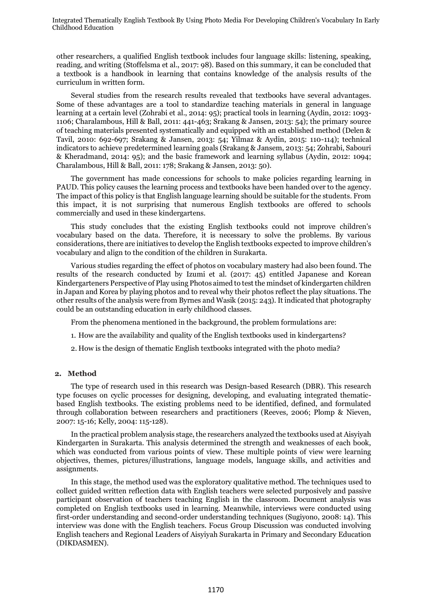other researchers, a qualified English textbook includes four language skills: listening, speaking, reading, and writing (Stoffelsma et al., 2017: 98). Based on this summary, it can be concluded that a textbook is a handbook in learning that contains knowledge of the analysis results of the curriculum in written form.

Several studies from the research results revealed that textbooks have several advantages. Some of these advantages are a tool to standardize teaching materials in general in language learning at a certain level (Zohrabi et al., 2014: 95); practical tools in learning (Aydin, 2012: 1093- 1106; Charalambous, Hill & Ball, 2011: 441-463; Srakang & Jansen, 2013: 54); the primary source of teaching materials presented systematically and equipped with an established method (Delen & Tavil, 2010: 692-697; Srakang & Jansen, 2013: 54; Yilmaz & Aydin, 2015: 110-114); technical indicators to achieve predetermined learning goals (Srakang & Jansem, 2013: 54; Zohrabi, Sabouri & Kheradmand, 2014: 95); and the basic framework and learning syllabus (Aydin, 2012: 1094; Charalambous, Hill & Ball, 2011: 178; Srakang & Jansen, 2013: 50).

The government has made concessions for schools to make policies regarding learning in PAUD. This policy causes the learning process and textbooks have been handed over to the agency. The impact of this policy is that English language learning should be suitable for the students. From this impact, it is not surprising that numerous English textbooks are offered to schools commercially and used in these kindergartens.

This study concludes that the existing English textbooks could not improve children's vocabulary based on the data. Therefore, it is necessary to solve the problems. By various considerations, there are initiatives to develop the English textbooks expected to improve children's vocabulary and align to the condition of the children in Surakarta.

Various studies regarding the effect of photos on vocabulary mastery had also been found. The results of the research conducted by Izumi et al. (2017: 45) entitled Japanese and Korean Kindergarteners Perspective of Play using Photos aimed to test the mindset of kindergarten children in Japan and Korea by playing photos and to reveal why their photos reflect the play situations. The other results of the analysis were from Byrnes and Wasik (2015: 243). It indicated that photography could be an outstanding education in early childhood classes.

From the phenomena mentioned in the background, the problem formulations are:

- 1. How are the availability and quality of the English textbooks used in kindergartens?
- 2. How is the design of thematic English textbooks integrated with the photo media?

#### **2. Method**

The type of research used in this research was Design-based Research (DBR). This research type focuses on cyclic processes for designing, developing, and evaluating integrated thematicbased English textbooks. The existing problems need to be identified, defined, and formulated through collaboration between researchers and practitioners (Reeves, 2006; Plomp & Nieven, 2007: 15-16; Kelly, 2004: 115-128).

In the practical problem analysis stage, the researchers analyzed the textbooks used at Aisyiyah Kindergarten in Surakarta. This analysis determined the strength and weaknesses of each book, which was conducted from various points of view. These multiple points of view were learning objectives, themes, pictures/illustrations, language models, language skills, and activities and assignments.

In this stage, the method used was the exploratory qualitative method. The techniques used to collect guided written reflection data with English teachers were selected purposively and passive participant observation of teachers teaching English in the classroom. Document analysis was completed on English textbooks used in learning. Meanwhile, interviews were conducted using first-order understanding and second-order understanding techniques (Sugiyono, 2008: 14). This interview was done with the English teachers. Focus Group Discussion was conducted involving English teachers and Regional Leaders of Aisyiyah Surakarta in Primary and Secondary Education (DIKDASMEN).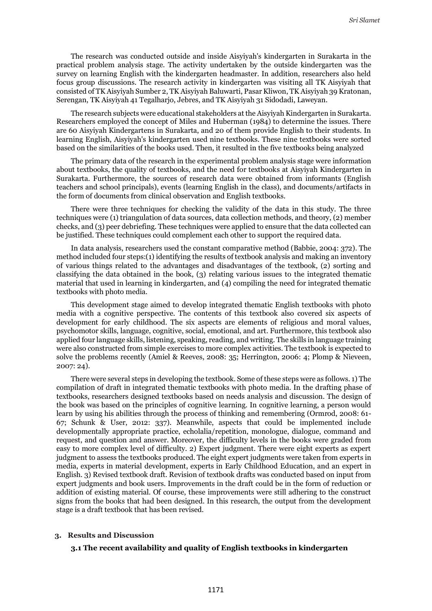The research was conducted outside and inside Aisyiyah's kindergarten in Surakarta in the practical problem analysis stage. The activity undertaken by the outside kindergarten was the survey on learning English with the kindergarten headmaster. In addition, researchers also held focus group discussions. The research activity in kindergarten was visiting all TK Aisyiyah that consisted of TK Aisyiyah Sumber 2, TK Aisyiyah Baluwarti, Pasar Kliwon, TK Aisyiyah 39 Kratonan, Serengan, TK Aisyiyah 41 Tegalharjo, Jebres, and TK Aisyiyah 31 Sidodadi, Laweyan.

The research subjects were educational stakeholders at the Aisyiyah Kindergarten in Surakarta. Researchers employed the concept of Miles and Huberman (1984) to determine the issues. There are 60 Aisyiyah Kindergartens in Surakarta, and 20 of them provide English to their students. In learning English, Aisyiyah's kindergarten used nine textbooks. These nine textbooks were sorted based on the similarities of the books used. Then, it resulted in the five textbooks being analyzed

The primary data of the research in the experimental problem analysis stage were information about textbooks, the quality of textbooks, and the need for textbooks at Aisyiyah Kindergarten in Surakarta. Furthermore, the sources of research data were obtained from informants (English teachers and school principals), events (learning English in the class), and documents/artifacts in the form of documents from clinical observation and English textbooks.

There were three techniques for checking the validity of the data in this study. The three techniques were (1) triangulation of data sources, data collection methods, and theory, (2) member checks, and (3) peer debriefing. These techniques were applied to ensure that the data collected can be justified. These techniques could complement each other to support the required data.

In data analysis, researchers used the constant comparative method (Babbie, 2004: 372). The method included four steps:(1) identifying the results of textbook analysis and making an inventory of various things related to the advantages and disadvantages of the textbook, (2) sorting and classifying the data obtained in the book, (3) relating various issues to the integrated thematic material that used in learning in kindergarten, and (4) compiling the need for integrated thematic textbooks with photo media.

This development stage aimed to develop integrated thematic English textbooks with photo media with a cognitive perspective. The contents of this textbook also covered six aspects of development for early childhood. The six aspects are elements of religious and moral values, psychomotor skills, language, cognitive, social, emotional, and art. Furthermore, this textbook also applied four language skills, listening, speaking, reading, and writing. The skills in language training were also constructed from simple exercises to more complex activities. The textbook is expected to solve the problems recently (Amiel & Reeves, 2008: 35; Herrington, 2006: 4; Plomp & Nieveen, 2007: 24).

There were several steps in developing the textbook. Some of these steps were as follows. 1) The compilation of draft in integrated thematic textbooks with photo media. In the drafting phase of textbooks, researchers designed textbooks based on needs analysis and discussion. The design of the book was based on the principles of cognitive learning. In cognitive learning, a person would learn by using his abilities through the process of thinking and remembering (Ormrod, 2008: 61- 67; Schunk & User, 2012: 337). Meanwhile, aspects that could be implemented include developmentally appropriate practice, echolalia/repetition, monologue, dialogue, command and request, and question and answer. Moreover, the difficulty levels in the books were graded from easy to more complex level of difficulty. 2) Expert judgment. There were eight experts as expert judgment to assess the textbooks produced. The eight expert judgments were taken from experts in media, experts in material development, experts in Early Childhood Education, and an expert in English. 3) Revised textbook draft. Revision of textbook drafts was conducted based on input from expert judgments and book users. Improvements in the draft could be in the form of reduction or addition of existing material. Of course, these improvements were still adhering to the construct signs from the books that had been designed. In this research, the output from the development stage is a draft textbook that has been revised.

# **3. Results and Discussion**

# **3.1 The recent availability and quality of English textbooks in kindergarten**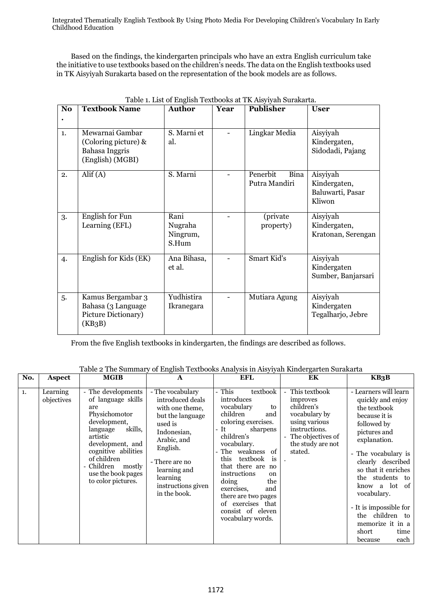Based on the findings, the kindergarten principals who have an extra English curriculum take the initiative to use textbooks based on the children's needs. The data on the English textbooks used in TK Aisyiyah Surakarta based on the representation of the book models are as follows.

| N <sub>o</sub> | <b>Textbook Name</b>                                                          | <b>Author</b>                        | Year | Publisher                         | <b>User</b>                                            |
|----------------|-------------------------------------------------------------------------------|--------------------------------------|------|-----------------------------------|--------------------------------------------------------|
| $\mathbf{1}$ . | Mewarnai Gambar<br>(Coloring picture) &<br>Bahasa Inggris<br>(English) (MGBI) | S. Marni et<br>al.                   |      | Lingkar Media                     | Aisyiyah<br>Kindergaten,<br>Sidodadi, Pajang           |
| 2.             | $\text{Alif}(A)$                                                              | S. Marni                             |      | Penerbit<br>Bina<br>Putra Mandiri | Aisyiyah<br>Kindergaten,<br>Baluwarti, Pasar<br>Kliwon |
| 3.             | English for Fun<br>Learning (EFL)                                             | Rani<br>Nugraha<br>Ningrum,<br>S.Hum |      | (private<br>property)             | Aisyiyah<br>Kindergaten,<br>Kratonan, Serengan         |
| 4.             | English for Kids (EK)                                                         | Ana Bihasa,<br>et al.                |      | Smart Kid's                       | Aisyiyah<br>Kindergaten<br>Sumber, Banjarsari          |
| 5.             | Kamus Bergambar 3<br>Bahasa (3 Language<br>Picture Dictionary)<br>(KB3B)      | Yudhistira<br>Ikranegara             |      | Mutiara Agung                     | Aisyiyah<br>Kindergaten<br>Tegalharjo, Jebre           |

| Table 1. List of English Textbooks at TK Aisyiyah Surakarta. |  |
|--------------------------------------------------------------|--|
|--------------------------------------------------------------|--|

From the five English textbooks in kindergarten, the findings are described as follows.

| No. | <b>Aspect</b>          | <b>MGIB</b>                                                                                                                                                                                                                                     | $\mathbf{A}$                                                                                                                                                                                                         | <b>EFL</b>                                                                                                                                                                                                                                                                                                                                                                  | EK                                                                                                                                              | KB3B                                                                                                                                                                                                                                                                                                                                                     |
|-----|------------------------|-------------------------------------------------------------------------------------------------------------------------------------------------------------------------------------------------------------------------------------------------|----------------------------------------------------------------------------------------------------------------------------------------------------------------------------------------------------------------------|-----------------------------------------------------------------------------------------------------------------------------------------------------------------------------------------------------------------------------------------------------------------------------------------------------------------------------------------------------------------------------|-------------------------------------------------------------------------------------------------------------------------------------------------|----------------------------------------------------------------------------------------------------------------------------------------------------------------------------------------------------------------------------------------------------------------------------------------------------------------------------------------------------------|
| 1.  | Learning<br>objectives | - The developments<br>of language skills<br>are<br>Physichomotor<br>development,<br>skills,<br>language<br>artistic<br>development, and<br>cognitive abilities<br>of children<br>Children<br>mostly<br>use the book pages<br>to color pictures. | - The vocabulary<br>introduced deals<br>with one theme.<br>but the language<br>used is<br>Indonesian,<br>Arabic, and<br>English.<br>- There are no<br>learning and<br>learning<br>instructions given<br>in the book. | This<br>textbook<br>introduces<br>vocabulary<br>to<br>children<br>and<br>coloring exercises.<br>- It<br>sharpens<br>children's<br>vocabulary.<br>The weakness of<br>this<br>textbook<br>is<br>that there are no<br>instructions<br><sub>on</sub><br>doing<br>the<br>and<br>exercises,<br>there are two pages<br>of exercises that<br>consist of eleven<br>vocabulary words. | This textbook<br>improves<br>children's<br>vocabulary by<br>using various<br>instructions.<br>The objectives of<br>the study are not<br>stated. | - Learners will learn<br>quickly and enjoy<br>the textbook<br>because it is<br>followed by<br>pictures and<br>explanation.<br>- The vocabulary is<br>clearly described<br>so that it enriches<br>the students to<br>a lot of<br>know<br>vocabulary.<br>- It is impossible for<br>the children to<br>memorize it in a<br>short<br>time<br>each<br>because |

Table 2 The Summary of English Textbooks Analysis in Aisyiyah Kindergarten Surakarta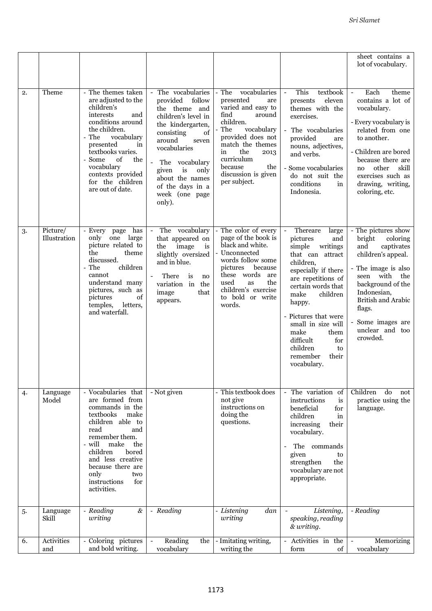|    |                          |                                                                                                                                                                                                                                                                              |                                                                                                                                                                                                                                                                                            |                                                                                                                                                                                                                                                            |                                                                                                                                                                                                                                                                                                                                                                  | sheet contains a<br>lot of vocabulary.                                                                                                                                                                                                                                     |
|----|--------------------------|------------------------------------------------------------------------------------------------------------------------------------------------------------------------------------------------------------------------------------------------------------------------------|--------------------------------------------------------------------------------------------------------------------------------------------------------------------------------------------------------------------------------------------------------------------------------------------|------------------------------------------------------------------------------------------------------------------------------------------------------------------------------------------------------------------------------------------------------------|------------------------------------------------------------------------------------------------------------------------------------------------------------------------------------------------------------------------------------------------------------------------------------------------------------------------------------------------------------------|----------------------------------------------------------------------------------------------------------------------------------------------------------------------------------------------------------------------------------------------------------------------------|
| 2. | Theme                    | The themes taken<br>are adjusted to the<br>children's<br>interests<br>and<br>conditions around<br>the children.<br>The<br>vocabulary<br>presented<br>in<br>textbooks varies.<br>of<br>the<br>Some<br>vocabulary<br>contexts provided<br>for the children<br>are out of date. | - The vocabularies<br>provided<br>follow<br>the theme and<br>children's level in<br>the kindergarten,<br>consisting<br>of<br>around<br>seven<br>vocabularies<br>$\blacksquare$<br>The vocabulary<br>is<br>only<br>given<br>about the names<br>of the days in a<br>week (one page<br>only). | $-$ The<br>vocabularies<br>presented<br>are<br>varied and easy to<br>find<br>around<br>children.<br>The<br>vocabulary<br>provided does not<br>match the themes<br>the<br>in<br>2013<br>curriculum<br>because<br>the<br>discussion is given<br>per subject. | This<br>textbook<br>$\overline{\phantom{a}}$<br>eleven<br>presents<br>themes with the<br>exercises.<br>- The vocabularies<br>provided<br>are<br>nouns, adjectives,<br>and verbs.<br>- Some vocabularies<br>do not suit the<br>conditions<br>in<br>Indonesia.                                                                                                     | Each<br>theme<br>$\overline{\phantom{a}}$<br>contains a lot of<br>vocabulary.<br>- Every vocabulary is<br>related from one<br>to another.<br>- Children are bored<br>because there are<br>other<br>skill<br>no<br>exercises such as<br>drawing, writing,<br>coloring, etc. |
| 3. | Picture/<br>Illustration | - Every page has<br>only one large<br>picture related to<br>the<br>theme<br>discussed.<br>children<br>The<br>cannot<br>understand many<br>pictures, such as<br>pictures<br>of<br>letters,<br>temples,<br>and waterfall.                                                      | The vocabulary<br>$\overline{\phantom{a}}$<br>that appeared on<br>image<br>the<br>is<br>slightly oversized<br>and in blue.<br>There<br>is<br>no<br>variation in<br>the<br>image<br>that<br>appears.                                                                                        | The color of every<br>page of the book is<br>black and white.<br>Unconnected<br>words follow some<br>pictures<br>because<br>these words<br>are<br>the<br>used<br>as<br>children's exercise<br>to bold or write<br>words.                                   | Thereare<br>large<br>$\overline{\phantom{a}}$<br>pictures<br>and<br>simple<br>writings<br>that can attract<br>children,<br>especially if there<br>are repetitions of<br>certain words that<br>children<br>make<br>happy.<br>- Pictures that were<br>small in size will<br>make<br>them<br>difficult<br>for<br>children<br>to<br>their<br>remember<br>vocabulary. | - The pictures show<br>bright<br>coloring<br>captivates<br>and<br>children's appeal.<br>- The image is also<br>seen with<br>the<br>background of the<br>Indonesian,<br><b>British and Arabic</b><br>flags.<br>Some images are<br>unclear and too<br>crowded.               |
| 4. | Language<br>Model        | Vocabularies that<br>are formed from<br>commands in the<br>textbooks<br>make<br>children able to<br>and<br>read<br>remember them.<br>will<br>make<br>the<br>children<br>bored<br>and less creative<br>because there are<br>only<br>two<br>instructions<br>for<br>activities. | - Not given                                                                                                                                                                                                                                                                                | - This textbook does<br>not give<br>instructions on<br>doing the<br>questions.                                                                                                                                                                             | The variation of<br>instructions<br>is<br>beneficial<br>for<br>children<br>in<br>increasing<br>their<br>vocabulary.<br>The commands<br>given<br>to<br>the<br>strengthen<br>vocabulary are not<br>appropriate.                                                                                                                                                    | Children<br>do<br>not<br>practice using the<br>language.                                                                                                                                                                                                                   |
| 5. | Language<br>Skill        | - Reading<br>$\&$<br>writing                                                                                                                                                                                                                                                 | - Reading                                                                                                                                                                                                                                                                                  | - Listening<br>dan<br>writing                                                                                                                                                                                                                              | Listening,<br>speaking, reading<br>& writing.                                                                                                                                                                                                                                                                                                                    | - Reading                                                                                                                                                                                                                                                                  |
| 6. | Activities<br>and        | Coloring pictures<br>and bold writing.                                                                                                                                                                                                                                       | Reading<br>the<br>vocabulary                                                                                                                                                                                                                                                               | - Imitating writing,<br>writing the                                                                                                                                                                                                                        | Activities in the<br>of<br>form                                                                                                                                                                                                                                                                                                                                  | Memorizing<br>vocabulary                                                                                                                                                                                                                                                   |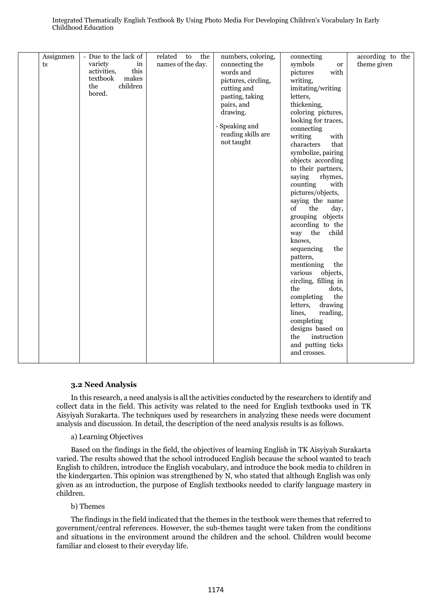| Assignmen<br>ts | - Due to the lack of<br>variety<br>in<br>this<br>activities,<br>makes<br>textbook<br>children<br>the<br>bored. | the<br>related to<br>names of the day. | numbers, coloring,<br>connecting the<br>words and<br>pictures, circling,<br>cutting and<br>pasting, taking<br>pairs, and<br>drawing.<br>- Speaking and<br>reading skills are<br>not taught | connecting<br>symbols<br><b>or</b><br>with<br>pictures<br>writing,<br>imitating/writing<br>letters,<br>thickening,<br>coloring pictures,<br>looking for traces,<br>connecting<br>writing<br>with<br>characters<br>that<br>symbolize, pairing<br>objects according<br>to their partners,<br>saying<br>rhymes,<br>counting<br>with<br>pictures/objects,<br>saying the name<br>the<br>of<br>day,<br>grouping objects<br>according to the<br>way the<br>child<br>knows,<br>sequencing<br>the<br>pattern,<br>mentioning<br>the<br>objects,<br>various<br>circling, filling in<br>the<br>dots,<br>completing<br>the<br>letters,<br>drawing<br>lines,<br>reading,<br>completing<br>designs based on<br>instruction<br>the<br>and putting ticks<br>and crosses. | according to the<br>theme given |
|-----------------|----------------------------------------------------------------------------------------------------------------|----------------------------------------|--------------------------------------------------------------------------------------------------------------------------------------------------------------------------------------------|---------------------------------------------------------------------------------------------------------------------------------------------------------------------------------------------------------------------------------------------------------------------------------------------------------------------------------------------------------------------------------------------------------------------------------------------------------------------------------------------------------------------------------------------------------------------------------------------------------------------------------------------------------------------------------------------------------------------------------------------------------|---------------------------------|
|-----------------|----------------------------------------------------------------------------------------------------------------|----------------------------------------|--------------------------------------------------------------------------------------------------------------------------------------------------------------------------------------------|---------------------------------------------------------------------------------------------------------------------------------------------------------------------------------------------------------------------------------------------------------------------------------------------------------------------------------------------------------------------------------------------------------------------------------------------------------------------------------------------------------------------------------------------------------------------------------------------------------------------------------------------------------------------------------------------------------------------------------------------------------|---------------------------------|

# **3.2 Need Analysis**

In this research, a need analysis is all the activities conducted by the researchers to identify and collect data in the field. This activity was related to the need for English textbooks used in TK Aisyiyah Surakarta. The techniques used by researchers in analyzing these needs were document analysis and discussion. In detail, the description of the need analysis results is as follows.

# a) Learning Objectives

Based on the findings in the field, the objectives of learning English in TK Aisyiyah Surakarta varied. The results showed that the school introduced English because the school wanted to teach English to children, introduce the English vocabulary, and introduce the book media to children in the kindergarten. This opinion was strengthened by N, who stated that although English was only given as an introduction, the purpose of English textbooks needed to clarify language mastery in children.

# b) Themes

The findings in the field indicated that the themes in the textbook were themes that referred to government/central references. However, the sub-themes taught were taken from the conditions and situations in the environment around the children and the school. Children would become familiar and closest to their everyday life.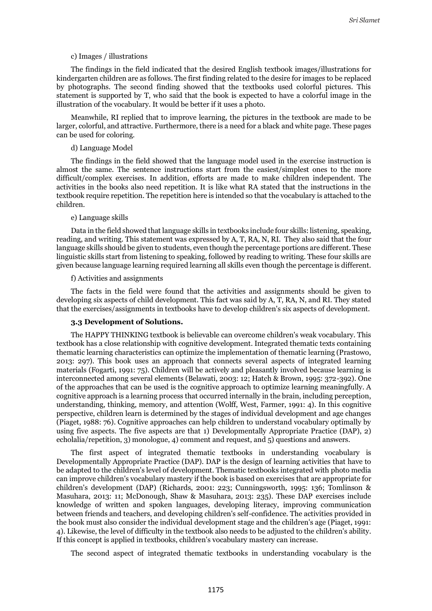#### c) Images / illustrations

The findings in the field indicated that the desired English textbook images/illustrations for kindergarten children are as follows. The first finding related to the desire for images to be replaced by photographs. The second finding showed that the textbooks used colorful pictures. This statement is supported by T, who said that the book is expected to have a colorful image in the illustration of the vocabulary. It would be better if it uses a photo.

Meanwhile, RI replied that to improve learning, the pictures in the textbook are made to be larger, colorful, and attractive. Furthermore, there is a need for a black and white page. These pages can be used for coloring.

#### d) Language Model

The findings in the field showed that the language model used in the exercise instruction is almost the same. The sentence instructions start from the easiest/simplest ones to the more difficult/complex exercises. In addition, efforts are made to make children independent. The activities in the books also need repetition. It is like what RA stated that the instructions in the textbook require repetition. The repetition here is intended so that the vocabulary is attached to the children.

### e) Language skills

Data in the field showed that language skills in textbooks include four skills: listening, speaking, reading, and writing. This statement was expressed by A, T, RA, N, RI. They also said that the four language skills should be given to students, even though the percentage portions are different. These linguistic skills start from listening to speaking, followed by reading to writing. These four skills are given because language learning required learning all skills even though the percentage is different.

#### f) Activities and assignments

The facts in the field were found that the activities and assignments should be given to developing six aspects of child development. This fact was said by A, T, RA, N, and RI. They stated that the exercises/assignments in textbooks have to develop children's six aspects of development.

# **3.3 Development of Solutions.**

The HAPPY THINKING textbook is believable can overcome children's weak vocabulary. This textbook has a close relationship with cognitive development. Integrated thematic texts containing thematic learning characteristics can optimize the implementation of thematic learning (Prastowo, 2013: 297). This book uses an approach that connects several aspects of integrated learning materials (Fogarti, 1991: 75). Children will be actively and pleasantly involved because learning is interconnected among several elements (Belawati, 2003: 12; Hatch & Brown, 1995: 372-392). One of the approaches that can be used is the cognitive approach to optimize learning meaningfully. A cognitive approach is a learning process that occurred internally in the brain, including perception, understanding, thinking, memory, and attention (Wolff, West, Farmer, 1991: 4). In this cognitive perspective, children learn is determined by the stages of individual development and age changes (Piaget, 1988: 76). Cognitive approaches can help children to understand vocabulary optimally by using five aspects. The five aspects are that 1) Developmentally Appropriate Practice (DAP), 2) echolalia/repetition, 3) monologue, 4) comment and request, and 5) questions and answers.

The first aspect of integrated thematic textbooks in understanding vocabulary is Developmentally Appropriate Practice (DAP). DAP is the design of learning activities that have to be adapted to the children's level of development. Thematic textbooks integrated with photo media can improve children's vocabulary mastery if the book is based on exercises that are appropriate for children's development (DAP) (Richards, 2001: 223; Cunningsworth, 1995: 136; Tomlinson & Masuhara, 2013: 11; McDonough, Shaw & Masuhara, 2013: 235). These DAP exercises include knowledge of written and spoken languages, developing literacy, improving communication between friends and teachers, and developing children's self-confidence. The activities provided in the book must also consider the individual development stage and the children's age (Piaget, 1991: 4). Likewise, the level of difficulty in the textbook also needs to be adjusted to the children's ability. If this concept is applied in textbooks, children's vocabulary mastery can increase.

The second aspect of integrated thematic textbooks in understanding vocabulary is the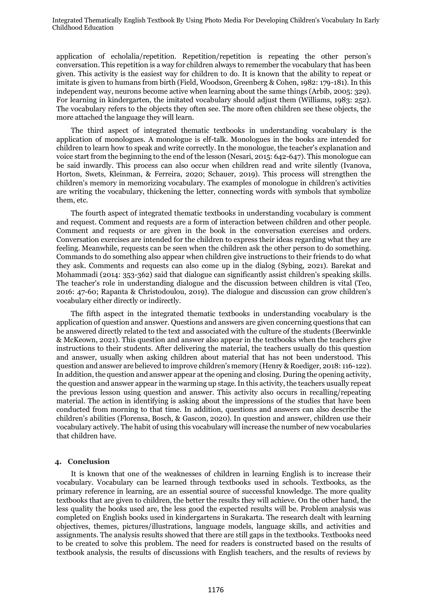application of echolalia/repetition. Repetition/repetition is repeating the other person's conversation. This repetition is a way for children always to remember the vocabulary that has been given. This activity is the easiest way for children to do. It is known that the ability to repeat or imitate is given to humans from birth (Field, Woodson, Greenberg & Cohen, 1982: 179-181). In this independent way, neurons become active when learning about the same things (Arbib, 2005: 329). For learning in kindergarten, the imitated vocabulary should adjust them (Williams, 1983: 252). The vocabulary refers to the objects they often see. The more often children see these objects, the more attached the language they will learn.

The third aspect of integrated thematic textbooks in understanding vocabulary is the application of monologues. A monologue is elf-talk. Monologues in the books are intended for children to learn how to speak and write correctly. In the monologue, the teacher's explanation and voice start from the beginning to the end of the lesson (Nesari, 2015: 642-647). This monologue can be said inwardly. This process can also occur when children read and write silently (Ivanova, Horton, Swets, Kleinman, & Ferreira, 2020; Schauer, 2019). This process will strengthen the children's memory in memorizing vocabulary. The examples of monologue in children's activities are writing the vocabulary, thickening the letter, connecting words with symbols that symbolize them, etc.

The fourth aspect of integrated thematic textbooks in understanding vocabulary is comment and request. Comment and requests are a form of interaction between children and other people. Comment and requests or are given in the book in the conversation exercises and orders. Conversation exercises are intended for the children to express their ideas regarding what they are feeling. Meanwhile, requests can be seen when the children ask the other person to do something. Commands to do something also appear when children give instructions to their friends to do what they ask. Comments and requests can also come up in the dialog (Sybing, 2021). Barekat and Mohammadi (2014: 353-362) said that dialogue can significantly assist children's speaking skills. The teacher's role in understanding dialogue and the discussion between children is vital (Teo, 2016: 47-60; Rapanta & Christodoulou, 2019). The dialogue and discussion can grow children's vocabulary either directly or indirectly.

The fifth aspect in the integrated thematic textbooks in understanding vocabulary is the application of question and answer. Questions and answers are given concerning questions that can be answered directly related to the text and associated with the culture of the students (Beerwinkle & McKeown, 2021). This question and answer also appear in the textbooks when the teachers give instructions to their students. After delivering the material, the teachers usually do this question and answer, usually when asking children about material that has not been understood. This question and answer are believed to improve children's memory (Henry & Roediger, 2018: 116-122). In addition, the question and answer appear at the opening and closing. During the opening activity, the question and answer appear in the warming up stage. In this activity, the teachers usually repeat the previous lesson using question and answer. This activity also occurs in recalling/repeating material. The action in identifying is asking about the impressions of the studies that have been conducted from morning to that time. In addition, questions and answers can also describe the children's abilities (Florensa, Bosch, & Gascon, 2020). In question and answer, children use their vocabulary actively. The habit of using this vocabulary will increase the number of new vocabularies that children have.

#### **4. Conclusion**

It is known that one of the weaknesses of children in learning English is to increase their vocabulary. Vocabulary can be learned through textbooks used in schools. Textbooks, as the primary reference in learning, are an essential source of successful knowledge. The more quality textbooks that are given to children, the better the results they will achieve. On the other hand, the less quality the books used are, the less good the expected results will be. Problem analysis was completed on English books used in kindergartens in Surakarta. The research dealt with learning objectives, themes, pictures/illustrations, language models, language skills, and activities and assignments. The analysis results showed that there are still gaps in the textbooks. Textbooks need to be created to solve this problem. The need for readers is constructed based on the results of textbook analysis, the results of discussions with English teachers, and the results of reviews by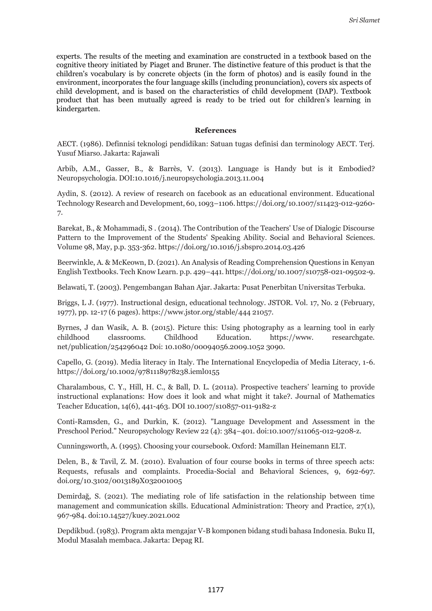experts. The results of the meeting and examination are constructed in a textbook based on the cognitive theory initiated by Piaget and Bruner. The distinctive feature of this product is that the children's vocabulary is by concrete objects (in the form of photos) and is easily found in the environment, incorporates the four language skills (including pronunciation), covers six aspects of child development, and is based on the characteristics of child development (DAP). Textbook product that has been mutually agreed is ready to be tried out for children's learning in kindergarten.

# **References**

AECT. (1986). Definnisi teknologi pendidikan: Satuan tugas definisi dan terminology AECT. Terj. Yusuf Miarso. Jakarta: Rajawali

Arbib, A.M., Gasser, B., & Barrès, V. (2013). Language is Handy but is it Embodied? Neuropsychologia. DOI:10.1016/j.neuropsychologia.2013.11.004

Aydin, S. (2012). A review of research on facebook as an educational environment. Educational Technology Research and Development, 60, 1093–1106. https://doi.org/10.1007/s11423-012-9260- 7.

Barekat, B., & Mohammadi, S . (2014). The Contribution of the Teachers' Use of Dialogic Discourse Pattern to the Improvement of the Students' Speaking Ability. Social and Behavioral Sciences. Volume 98, May, p.p. 353-362. https://doi.org/10.1016/j.sbspro.2014.03.426

Beerwinkle, A. & McKeown, D. (2021). An Analysis of Reading Comprehension Questions in Kenyan English Textbooks. Tech Know Learn. p.p. 429–441. https://doi.org/10.1007/s10758-021-09502-9.

Belawati, T. (2003). Pengembangan Bahan Ajar. Jakarta: Pusat Penerbitan Universitas Terbuka.

Briggs, L J. (1977). Instructional design, educational technology. JSTOR. Vol. 17, No. 2 (February, 1977), pp. 12-17 (6 pages). https://www.jstor.org/stable/444 21057.

Byrnes, J dan Wasik, A. B. (2015). Picture this: Using photography as a learning tool in early childhood classrooms. Childhood Education. https://www. researchgate. net/publication/254296042 Doi: 10.1080/00094056.2009.1052 3090.

Capello, G. (2019). Media literacy in Italy. The International Encyclopedia of Media Literacy, 1-6. https://doi.org/10.1002/9781118978238.ieml0155

Charalambous, C. Y., Hill, H. C., & Ball, D. L. (2011a). Prospective teachers' learning to provide instructional explanations: How does it look and what might it take?. Journal of Mathematics Teacher Education, 14(6), 441-463. DOI 10.1007/s10857-011-9182-z

Conti-Ramsden, G., and Durkin, K. (2012). "Language Development and Assessment in the Preschool Period." Neuropsychology Review 22 (4): 384–401. doi:10.1007/s11065-012-9208-z.

Cunningsworth, A. (1995). Choosing your coursebook. Oxford: Mamillan Heinemann ELT.

Delen, B., & Tavil, Z. M. (2010). Evaluation of four course books in terms of three speech acts: Requests, refusals and complaints. Procedia-Social and Behavioral Sciences, 9, 692-697. doi.org/10.3102/0013189X032001005

Demirdağ, S. (2021). The mediating role of life satisfaction in the relationship between time management and communication skills. Educational Administration: Theory and Practice, 27(1), 967-984. doi:10.14527/kuey.2021.002

Depdikbud. (1983). Program akta mengajar V-B komponen bidang studi bahasa Indonesia. Buku II, Modul Masalah membaca. Jakarta: Depag RI.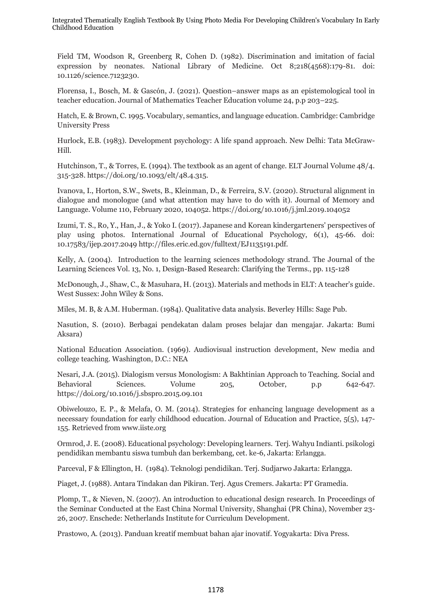Field TM, Woodson R, Greenberg R, Cohen D. (1982). Discrimination and imitation of facial expression by neonates. National Library of Medicine. Oct 8;218(4568):179-81. doi: 10.1126/science.7123230.

Florensa, I., Bosch, M. & Gascón, J. (2021). Question–answer maps as an epistemological tool in teacher education. Journal of Mathematics Teacher Education volume 24, p.p 203–225.

Hatch, E. & Brown, C. 1995. Vocabulary, semantics, and language education. Cambridge: Cambridge University Press

Hurlock, E.B. (1983). Development psychology: A life spand approach. New Delhi: Tata McGraw-Hill.

Hutchinson, T., & Torres, E. (1994). The textbook as an agent of change. ELT Journal Volume 48/4. 315-328. https://doi.org/10.1093/elt/48.4.315.

Ivanova, I., Horton, S.W., Swets, B., Kleinman, D., & Ferreira, S.V. (2020). Structural alignment in dialogue and monologue (and what attention may have to do with it). Journal of Memory and Language. Volume 110, February 2020, 104052. https://doi.org/10.1016/j.jml.2019.104052

Izumi, T. S., Ro, Y., Han, J., & Yoko I. (2017). Japanese and Korean kindergarteners' perspectives of play using photos. International Journal of Educational Psychology, 6(1), 45-66. doi: 10.17583/ijep.2017.2049 http://files.eric.ed.gov/fulltext/EJ1135191.pdf.

Kelly, A. (2004). Introduction to the learning sciences methodology strand. The Journal of the Learning Sciences Vol. 13, No. 1, Design-Based Research: Clarifying the Terms., pp. 115-128

McDonough, J., Shaw, C., & Masuhara, H. (2013). Materials and methods in ELT: A teacher's guide. West Sussex: John Wiley & Sons.

Miles, M. B, & A.M. Huberman. (1984). Qualitative data analysis. Beverley Hills: Sage Pub.

Nasution, S. (2010). Berbagai pendekatan dalam proses belajar dan mengajar. Jakarta: Bumi Aksara)

National Education Association. (1969). Audiovisual instruction development, New media and college teaching. Washington, D.C.: NEA

Nesari, J.A. (2015). Dialogism versus Monologism: A Bakhtinian Approach to Teaching. Social and Behavioral Sciences. Volume 205, October, p.p 642-647. https://doi.org/10.1016/j.sbspro.2015.09.101

Obiwelouzo, E. P., & Melafa, O. M. (2014). Strategies for enhancing language development as a necessary foundation for early childhood education. Journal of Education and Practice, 5(5), 147- 155. Retrieved from www.iiste.org

Ormrod, J. E. (2008). Educational psychology: Developing learners. Terj. Wahyu Indianti. psikologi pendidikan membantu siswa tumbuh dan berkembang, cet. ke-6, Jakarta: Erlangga.

Parceval, F & Ellington, H. (1984). Teknologi pendidikan. Terj. Sudjarwo Jakarta: Erlangga.

Piaget, J. (1988). Antara Tindakan dan Pikiran. Terj. Agus Cremers. Jakarta: PT Gramedia.

Plomp, T., & Nieven, N. (2007). An introduction to educational design research. In Proceedings of the Seminar Conducted at the East China Normal University, Shanghai (PR China), November 23- 26, 2007. Enschede: Netherlands Institute for Curriculum Development.

Prastowo, A. (2013). Panduan kreatif membuat bahan ajar inovatif. Yogyakarta: Diva Press.